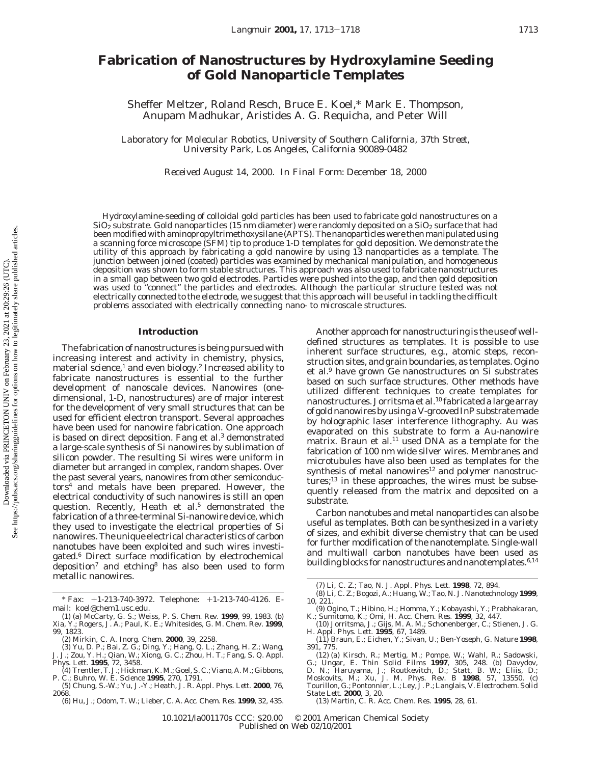# **Fabrication of Nanostructures by Hydroxylamine Seeding of Gold Nanoparticle Templates**

Sheffer Meltzer, Roland Resch, Bruce E. Koel,\* Mark E. Thompson, Anupam Madhukar, Aristides A. G. Requicha, and Peter Will

*Laboratory for Molecular Robotics, University of Southern California, 37th Street, University Park, Los Angeles, California 90089-0482*

*Received August 14, 2000. In Final Form: December 18, 2000*

Hydroxylamine-seeding of colloidal gold particles has been used to fabricate gold nanostructures on a  $SiO<sub>2</sub>$  substrate. Gold nanoparticles (15 nm diameter) were randomly deposited on a  $SiO<sub>2</sub>$  surface that had been modified with aminopropyltrimethoxysilane (APTS). The nanoparticles were then manipulated using a scanning force microscope (SFM) tip to produce 1-D templates for gold deposition. We demonstrate the utility of this approach by fabricating a gold nanowire by using 13 nanoparticles as a template. The junction between joined (coated) particles was examined by mechanical manipulation, and homogeneous deposition was shown to form stable structures. This approach was also used to fabricate nanostructures in a small gap between two gold electrodes. Particles were pushed into the gap, and then gold deposition was used to "connect" the particles and electrodes. Although the particular structure tested was not electrically connected to the electrode, we suggest that this approach will be useful in tackling the difficult problems associated with electrically connecting nano- to microscale structures.

#### **Introduction**

The fabrication of nanostructures is being pursued with increasing interest and activity in chemistry, physics, material science,<sup>1</sup> and even biology.<sup>2</sup> Increased ability to fabricate nanostructures is essential to the further development of nanoscale devices. Nanowires (onedimensional, 1-D, nanostructures) are of major interest for the development of very small structures that can be used for efficient electron transport. Several approaches have been used for nanowire fabrication. One approach is based on direct deposition. Fang et al.<sup>3</sup> demonstrated a large-scale synthesis of Si nanowires by sublimation of silicon powder. The resulting Si wires were uniform in diameter but arranged in complex, random shapes. Over the past several years, nanowires from other semiconduc $t$ ors $4$  and metals have been prepared. However, the electrical conductivity of such nanowires is still an open question. Recently, Heath et al.<sup>5</sup> demonstrated the fabrication of a three-terminal Si-nanowire device, which they used to investigate the electrical properties of Si nanowires. The unique electrical characteristics of carbon nanotubes have been exploited and such wires investigated.6 Direct surface modification by electrochemical deposition<sup>7</sup> and etching<sup>8</sup> has also been used to form metallic nanowires.

Another approach for nanostructuring is the use of welldefined structures as templates. It is possible to use inherent surface structures, e.g., atomic steps, reconstruction sites, and grain boundaries, as templates. Ogino et al.9 have grown Ge nanostructures on Si substrates based on such surface structures. Other methods have utilized different techniques to create templates for nanostructures. Jorritsma et al.10 fabricated a large array of gold nanowires by using a V-grooved InP substrate made by holographic laser interference lithography. Au was evaporated on this substrate to form a Au-nanowire matrix. Braun et al.<sup>11</sup> used DNA as a template for the fabrication of 100 nm wide silver wires. Membranes and microtubules have also been used as templates for the synthesis of metal nanowires $12$  and polymer nanostructures; $^{13}$  in these approaches, the wires must be subsequently released from the matrix and deposited on a substrate.

Carbon nanotubes and metal nanoparticles can also be useful as templates. Both can be synthesized in a variety of sizes, and exhibit diverse chemistry that can be used for further modification of the nanotemplate. Single-wall and multiwall carbon nanotubes have been used as building blocks for nanostructures and nanotemplates.<sup>6,14</sup>

<sup>\*</sup> Fax: +1-213-740-3972. Telephone: +1-213-740-4126. Email: koel@chem1.usc.edu.

<sup>(1) (</sup>a) McCarty, G. S.; Weiss, P. S. *Chem. Rev.* **1999**, *99*, 1983. (b) Xia, Y.; Rogers, J. A.; Paul, K. E.; Whitesides, G. M. *Chem. Rev.* **1999**, *99*, 1823.

<sup>(2)</sup> Mirkin, C. A. *Inorg. Chem.* **2000**, *39*, 2258. (3) Yu, D. P.; Bai, Z. G.; Ding, Y.; Hang, Q. L.; Zhang, H. Z.; Wang, J. J.; Zou, Y. H.; Qian, W.; Xiong, G. C.; Zhou, H. T.; Fang, S. Q. *Appl.*

*Phys. Lett.* **1995**, *72*, 3458. (4) Trentler, T. J.; Hickman, K. M.; Goel, S. C.; Viano, A. M.; Gibbons, P. C.; Buhro, W. E. *Science* **1995**, *270*, 1791. (5) Chung, S.-W.; Yu, J.-Y.; Heath, J. R. *Appl. Phys. Lett.* **2000**, *76*,

<sup>2068.</sup>

<sup>(6)</sup> Hu, J.; Odom, T. W.; Lieber, C. A. *Acc. Chem. Res.* **1999**, *32*, 435.

<sup>(7)</sup> Li, C. Z.; Tao, N. J. *Appl. Phys. Lett.* **1998**, *72*, 894. (8) Li, C. Z.; Bogozi, A.; Huang, W.; Tao, N. J. *Nanotechnology* **1999**, *10*, 221.

<sup>(9)</sup> Ogino, T.; Hibino, H.; Homma, Y.; Kobayashi, Y.; Prabhakaran, K.; Sumitomo, K.; Omi, H. *Acc. Chem. Res.* **1999**, *32*, 447. (10) Jorritsma, J.; Gijs, M. A. M.; Schonenberger, C.; Stienen, J. G.

H. *Appl. Phys. Lett.* **1995**, *67*, 1489. (11) Braun, E.; Eichen, Y.; Sivan, U.; Ben-Yoseph, G. *Nature* **1998**,

*<sup>391</sup>*, 775.

<sup>(12) (</sup>a) Kirsch, R.; Mertig, M.; Pompe, W.; Wahl, R.; Sadowski, G.; Ungar, E. *Thin Solid Films* **1997**, 305, 248. (b) Davydov, D. N.; Haruyama, J.; Routkevitch, D.; Statt, B. W.; Ellis, D.; Moskovits, M.; Xu, J. M. *Phys State Lett.* **2000**, *3*, 20.

<sup>(13)</sup> Martin, C. R. *Acc. Chem. Res.* **1995**, *28*, 61.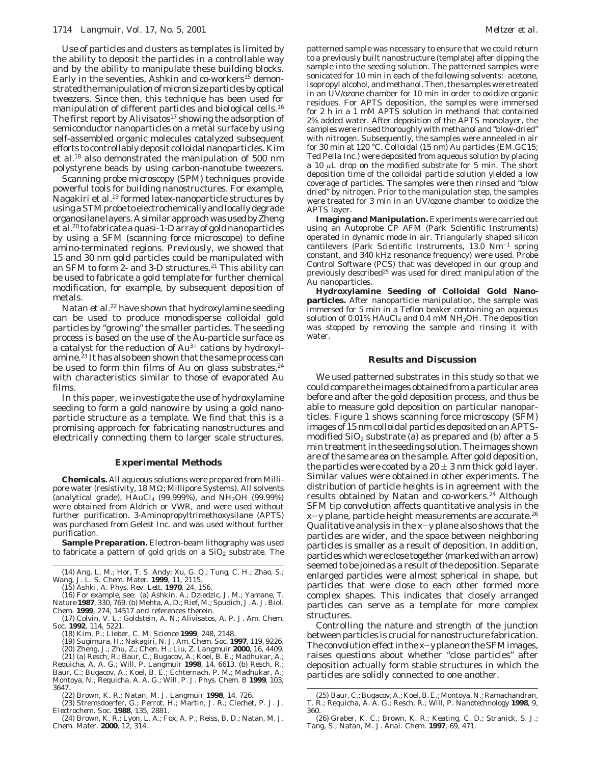Use of particles and clusters as templates is limited by the ability to deposit the particles in a controllable way and by the ability to manipulate these building blocks. Early in the seventies, Ashkin and co-workers<sup>15</sup> demonstrated the manipulation of micron size particles by optical tweezers. Since then, this technique has been used for manipulation of different particles and biological cells.<sup>16</sup> The first report by Alivisatos<sup>17</sup> showing the adsorption of semiconductor nanoparticles on a metal surface by using self-assembled organic molecules catalyzed subsequent efforts to controllably deposit colloidal nanoparticles. Kim et al.18 also demonstrated the manipulation of 500 nm polystyrene beads by using carbon-nanotube tweezers.

Scanning probe microscopy (SPM) techniques provide powerful tools for building nanostructures. For example, Nagakiri et al.19 formed latex-nanoparticle structures by using a STM probe to electrochemically and locally degrade organosilane layers. A similar approach was used by Zheng et al.20 to fabricate a quasi-1-D array of gold nanoparticles by using a SFM (scanning force microscope) to define amino-terminated regions. Previously, we showed that 15 and 30 nm gold particles could be manipulated with an SFM to form 2- and 3-D structures.<sup>21</sup> This ability can be used to fabricate a gold template for further chemical modification, for example, by subsequent deposition of metals.

Natan et al.<sup>22</sup> have shown that hydroxylamine seeding can be used to produce monodisperse colloidal gold particles by "growing" the smaller particles. The seeding process is based on the use of the Au-particle surface as a catalyst for the reduction of  $Au^{3+}$  cations by hydroxylamine.<sup>23</sup> It has also been shown that the same process can be used to form thin films of Au on glass substrates,  $24$ with characteristics similar to those of evaporated Au films.

In this paper, we investigate the use of hydroxylamine seeding to form a gold nanowire by using a gold nanoparticle structure as a template. We find that this is a promising approach for fabricating nanostructures and electrically connecting them to larger scale structures.

### **Experimental Methods**

**Chemicals.** All aqueous solutions were prepared from Millipore water (resistivity, 18 MΩ; Millipore Systems). All solvents (analytical grade),  $HAuCl_4$  (99.999%), and  $NH_2OH$  (99.99%) were obtained from Aldrich or VWR, and were used without further purification. 3-Aminopropyltrimethoxysilane (APTS) was purchased from Gelest Inc. and was used without further purification.

**Sample Preparation.** Electron-beam lithography was used to fabricate a pattern of gold grids on a  $SiO<sub>2</sub>$  substrate. The

(14) Ang, L. M.; Hor, T. S. Andy; Xu, G. Q.; Tung, C. H.; Zhao, S.; Wang, J. L. S. *Chem. Mater.* **1999**, *11*, 2115.

(15) Ashki, A. *Phys. Rev. Lett.* **1970**, *24*, 156.

(16) For example, see: (a) Ashkin, A.; Dziedzic, J. M.; Yamane, T. *Nature* **1987**, *330*, 769. (b) Mehta, A. D.; Rief, M.; Spudich, J. A. *J. Biol. Chem.* **1999**, *274*, 14517 and references therein.

(17) Colvin, V. L.; Goldstein, A. N.; Alivisatos, A. P. *J. Am. Chem. Soc.* **1992**, *114*, 5221.

(18) Kim, P.; Lieber, C. M. *Science* **1999**, *248*, 2148.

(19) Sugimura, H.; Nakagiri, N. *J. Am. Chem. Soc.* **1997**, *119*, 9226. (20) Zheng, J.; Zhu, Z.; Chen, H.; Liu, Z. *Langmuir* **2000**, *16*, 4409.

(21) (a) Resch, R.; Baur, C.; Bugacov, A.; Koel, B. E.; Madhukar, A.;<br>Requicha, A. A. G.; Will, P. *Langmuir* **1998**, 14, 6613. (b) Resch, R.;<br>Baur, C.; Bugacov, A.; Koel, B. E.; Echternach, P. M.; Madhukar, A.;<br>Montoya, N 3647.

(22) Brown, K. R.; Natan, M. J. *Langmuir* **1998**, *14*, 726.

(23) Stremsdoerfer, G.; Perrot, H.; Martin, J. R.; Clechet, P. J. *J. Electrochem. Soc.* **1988**, *135*, 2881.

(24) Brown, K. R.; Lyon, L. A.; Fox, A. P.; Reiss, B. D.; Natan, M. J. *Chem. Mater.* **2000**, *12*, 314.

patterned sample was necessary to ensure that we could return to a previously built nanostructure (template) after dipping the sample into the seeding solution. The patterned samples were sonicated for 10 min in each of the following solvents: acetone, isopropyl alcohol, and methanol. Then, the samples were treated in an UV/ozone chamber for 10 min in order to oxidize organic residues. For APTS deposition, the samples were immersed for 2 h in a 1 mM APTS solution in methanol that contained 2% added water. After deposition of the APTS monolayer, the samples were rinsed thoroughly with methanol and "blow-dried" with nitrogen. Subsequently, the samples were annealed in air for 30 min at 120 °C. Colloidal (15 nm) Au particles (EM.GC15; Ted Pella Inc.) were deposited from aqueous solution by placing a 10 *µ*L drop on the modified substrate for 5 min. The short deposition time of the colloidal particle solution yielded a low coverage of particles. The samples were then rinsed and "blow dried" by nitrogen. Prior to the manipulation step, the samples were treated for 3 min in an UV/ozone chamber to oxidize the APTS layer.

**Imaging and Manipulation.** Experiments were carried out using an Autoprobe CP AFM (Park Scientific Instruments) operated in dynamic mode in air. Triangularly shaped silicon cantilevers (Park Scientific Instruments,  $13.0 \text{ Nm}^{-1}$  spring constant, and 340 kHz resonance frequency) were used. Probe Control Software (PCS) that was developed in our group and previously described<sup>25</sup> was used for direct manipulation of the Au nanoparticles.

**Hydroxylamine Seeding of Colloidal Gold Nanoparticles.** After nanoparticle manipulation, the sample was immersed for 5 min in a Teflon beaker containing an aqueous solution of  $0.01\%$  HAuCl<sub>4</sub> and 0.4 mM NH<sub>2</sub>OH. The deposition was stopped by removing the sample and rinsing it with water.

### **Results and Discussion**

We used patterned substrates in this study so that we could compare the images obtained from a particular area before and after the gold deposition process, and thus be able to measure gold deposition on particular nanoparticles. Figure 1 shows scanning force microscopy (SFM) images of 15 nm colloidal particles deposited on an APTSmodified  $\text{SiO}_2$  substrate (a) as prepared and (b) after a 5 min treatment in the seeding solution. The images shown are of the same area on the sample. After gold deposition, the particles were coated by a  $20 \pm 3$  nm thick gold layer. Similar values were obtained in other experiments. The distribution of particle heights is in agreement with the results obtained by Natan and co-workers.<sup>24</sup> Although SFM tip convolution affects quantitative analysis in the *<sup>x</sup>*-*<sup>y</sup>* plane, particle height measurements are accurate.26 Qualitative analysis in the *<sup>x</sup>*-*<sup>y</sup>* plane also shows that the particles are wider, and the space between neighboring particles is smaller as a result of deposition. In addition, particles which were close together (marked with an arrow) seemed to be joined as a result of the deposition. Separate enlarged particles were almost spherical in shape, but particles that were close to each other formed more complex shapes. This indicates that closely arranged particles can serve as a template for more complex structures.

Controlling the nature and strength of the junction between particles is crucial for nanostructure fabrication. The convolution effect in the *<sup>x</sup>*-*<sup>y</sup>* plane on the SFM images, raises questions about whether "close particles" after deposition actually form stable structures in which the particles are solidly connected to one another.

<sup>(25)</sup> Baur, C.; Bugacov, A.; Koel, B. E.; Montoya, N.; Ramachandran, T. R.; Requicha, A. A. G.; Resch, R.; Will, P. *Nanotechnology* **1998**, *9*, 360.

<sup>(26)</sup> Graber, K. C.; Brown, K. R.; Keating, C. D.; Stranick, S. J.; Tang, S.; Natan, M. J. *Anal. Chem.* **1997**, *69*, 471.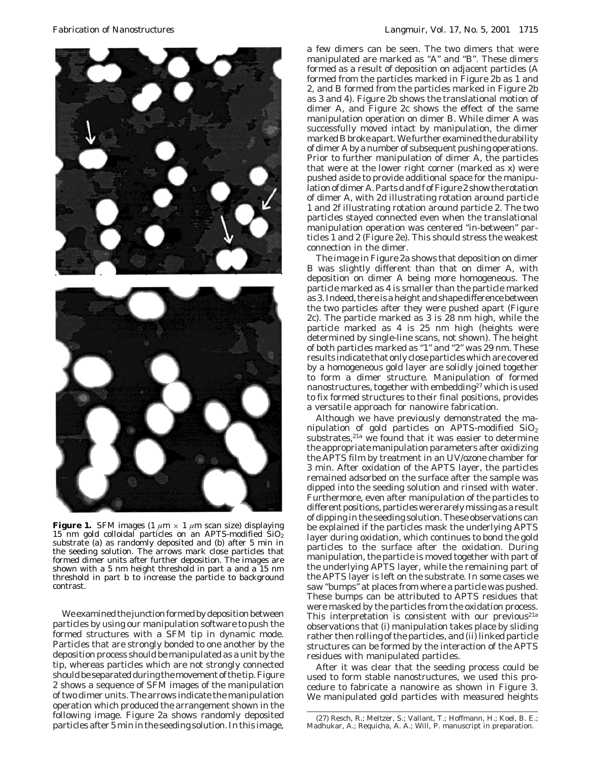

**Figure 1.** SFM images  $(1 \mu m \times 1 \mu m \text{ scan size})$  displaying 15 nm gold colloidal particles on an APTS-modified  $\overline{SiO_2}$ substrate (a) as randomly deposited and (b) after 5 min in the seeding solution. The arrows mark close particles that formed dimer units after further deposition. The images are shown with a 5 nm height threshold in part a and a 15 nm threshold in part b to increase the particle to background contrast.

We examined the junction formed by deposition between particles by using our manipulation software to push the formed structures with a SFM tip in dynamic mode. Particles that are strongly bonded to one another by the deposition process should be manipulated as a unit by the tip, whereas particles which are not strongly connected should be separated during the movement of the tip. Figure 2 shows a sequence of SFM images of the manipulation of two dimer units. The arrows indicate the manipulation operation which produced the arrangement shown in the following image. Figure 2a shows randomly deposited particles after 5 min in the seeding solution. In this image,

a few dimers can be seen. The two dimers that were manipulated are marked as "A" and "B". These dimers formed as a result of deposition on adjacent particles (A formed from the particles marked in Figure 2b as 1 and 2, and B formed from the particles marked in Figure 2b as 3 and 4). Figure 2b shows the translational motion of dimer A, and Figure 2c shows the effect of the same manipulation operation on dimer B. While dimer A was successfully moved intact by manipulation, the dimer marked B broke apart. We further examined the durability of dimer A by a number of subsequent pushing operations. Prior to further manipulation of dimer A, the particles that were at the lower right corner (marked as *x*) were pushed aside to provide additional space for the manipulation of dimer A. Parts d and f of Figure 2 show the rotation of dimer A, with 2d illustrating rotation around particle 1 and 2f illustrating rotation around particle 2. The two particles stayed connected even when the translational manipulation operation was centered "in-between" particles 1 and 2 (Figure 2e). This should stress the weakest connection in the dimer.

The image in Figure 2a shows that deposition on dimer B was slightly different than that on dimer A, with deposition on dimer A being more homogeneous. The particle marked as 4 is smaller than the particle marked as 3. Indeed, there is a height and shape difference between the two particles after they were pushed apart (Figure 2c). The particle marked as 3 is 28 nm high, while the particle marked as 4 is 25 nm high (heights were determined by single-line scans, not shown). The height of both particles marked as "1" and "2" was 29 nm. These results indicate that only close particles which are covered by a homogeneous gold layer are solidly joined together to form a dimer structure. Manipulation of formed nanostructures, together with embedding<sup>27</sup> which is used to fix formed structures to their final positions, provides a versatile approach for nanowire fabrication.

Although we have previously demonstrated the manipulation of gold particles on APTS-modified  $SiO<sub>2</sub>$ substrates,<sup>21a</sup> we found that it was easier to determine the appropriate manipulation parameters after oxidizing the APTS film by treatment in an UV/ozone chamber for 3 min. After oxidation of the APTS layer, the particles remained adsorbed on the surface after the sample was dipped into the seeding solution and rinsed with water. Furthermore, even after manipulation of the particles to different positions, particles were rarely missing as a result of dipping in the seeding solution. These observations can be explained if the particles mask the underlying APTS layer during oxidation, which continues to bond the gold particles to the surface after the oxidation. During manipulation, the particle is moved together with part of the underlying APTS layer, while the remaining part of the APTS layer is left on the substrate. In some cases we saw "bumps" at places from where a particle was pushed. These bumps can be attributed to APTS residues that were masked by the particles from the oxidation process. This interpretation is consistent with our previous<sup>21a</sup> observations that (i) manipulation takes place by sliding rather then rolling of the particles, and (ii) linked particle structures can be formed by the interaction of the APTS residues with manipulated particles.

After it was clear that the seeding process could be used to form stable nanostructures, we used this procedure to fabricate a nanowire as shown in Figure 3. We manipulated gold particles with measured heights

<sup>(27)</sup> Resch, R.; Meltzer, S.; Vallant, T.; Hoffmann, H.; Koel, B. E.; Madhukar, A.; Requicha, A. A.; Will, P. manuscript in preparation.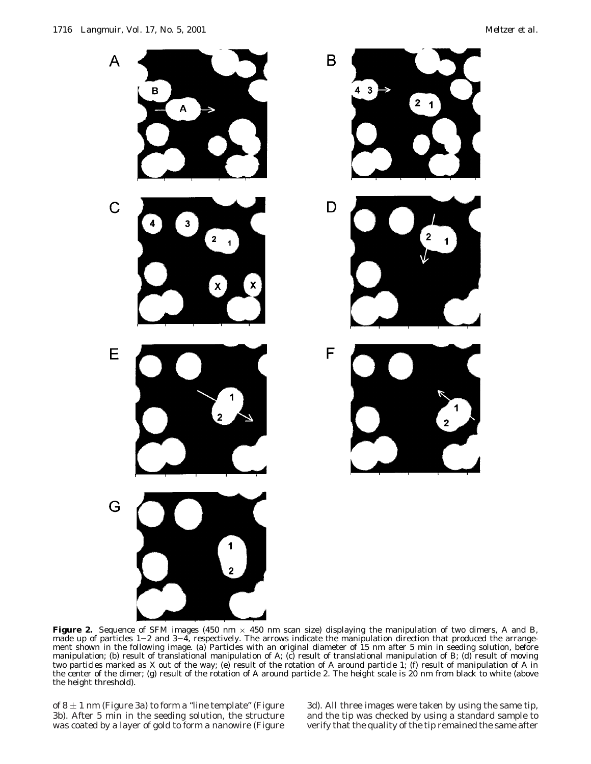

**Figure 2.** Sequence of SFM images (450 nm  $\times$  450 nm scan size) displaying the manipulation of two dimers, *A* and *B*, made up of particles 1–2 and 3–4, respectively. The arrows indicate the manipulation direction that produced the arrange-<br>ment shown in the following image. (a) Particles with an original diameter of 15 nm after 5 min in s ment shown in the following image. (a) Particles with an original diameter of 15 nm after 5 min in seeding solution, before manipulation; (b) result of translational manipulation of *A*; (c) result of translational manipulation of *B*; (d) result of moving two particles marked as *X* out of the way; (e) result of the rotation of *A* around particle 1; (f) result of manipulation of *A* in the center of the dimer; (g) result of the rotation of *A* around particle 2. The height scale is 20 nm from black to white (above the height threshold).

of  $8 \pm 1$  nm (Figure 3a) to form a "line template" (Figure 3b). After 5 min in the seeding solution, the structure was coated by a layer of gold to form a nanowire (Figure

3d). All three images were taken by using the same tip, and the tip was checked by using a standard sample to verify that the quality of the tip remained the same after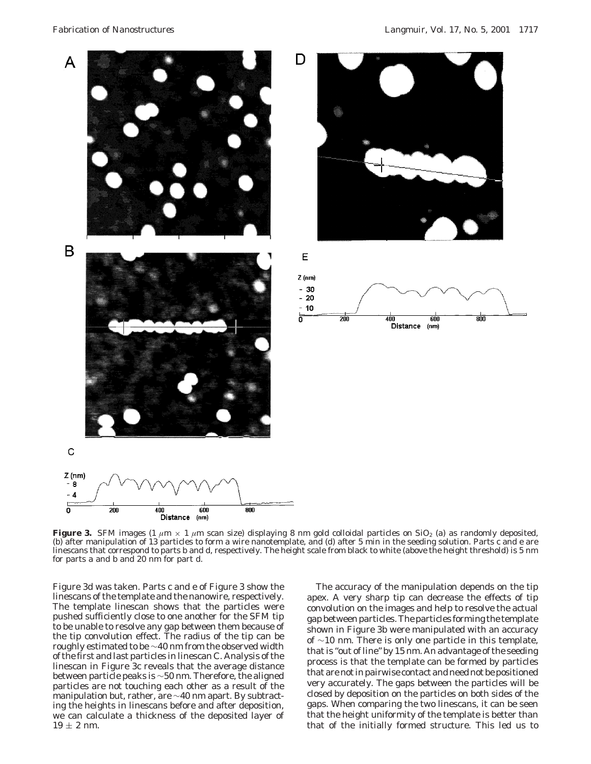

**Figure 3.** SFM images (1  $\mu$ m × 1  $\mu$ m scan size) displaying 8 nm gold colloidal particles on SiO<sub>2</sub> (a) as randomly deposited, (b) after manipulation of 13 particles to form a wire nanotemplate, and (d) after 5 min in the seeding solution. Parts c and e are linescans that correspond to parts b and d, respectively. The height scale from black to white (above the height threshold) is 5 nm for parts a and b and 20 nm for part d.

Figure 3d was taken. Parts c and e of Figure 3 show the linescans of the template and the nanowire, respectively. The template linescan shows that the particles were pushed sufficiently close to one another for the SFM tip to be unable to resolve any gap between them because of the tip convolution effect. The radius of the tip can be roughly estimated to be ∼40 nm from the observed width of the first and last particles in linescan C. Analysis of the linescan in Figure 3c reveals that the average distance between particle peaks is ∼50 nm. Therefore, the aligned particles are not touching each other as a result of the manipulation but, rather, are ∼40 nm apart. By subtracting the heights in linescans before and after deposition, we can calculate a thickness of the deposited layer of  $19 \pm 2$  nm.

The accuracy of the manipulation depends on the tip apex. A very sharp tip can decrease the effects of tip convolution on the images and help to resolve the actual gap between particles. The particles forming the template shown in Figure 3b were manipulated with an accuracy of ∼10 nm. There is only one particle in this template, that is "out of line" by 15 nm. An advantage of the seeding process is that the template can be formed by particles that are not in pairwise contact and need not be positioned very accurately. The gaps between the particles will be closed by deposition on the particles on both sides of the gaps. When comparing the two linescans, it can be seen that the height uniformity of the template is better than that of the initially formed structure. This led us to